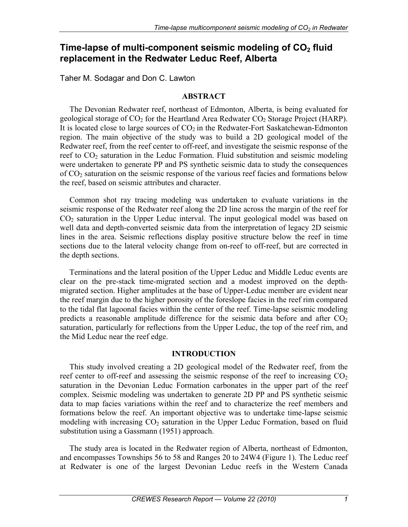# Time-lapse of multi-component seismic modeling of CO<sub>2</sub> fluid **replacement in the Redwater Leduc Reef, Alberta**

Taher M. Sodagar and Don C. Lawton

### **ABSTRACT**

The Devonian Redwater reef, northeast of Edmonton, Alberta, is being evaluated for geological storage of  $CO<sub>2</sub>$  for the Heartland Area Redwater  $CO<sub>2</sub>$  Storage Project (HARP). It is located close to large sources of  $CO<sub>2</sub>$  in the Redwater-Fort Saskatchewan-Edmonton region. The main objective of the study was to build a 2D geological model of the Redwater reef, from the reef center to off-reef, and investigate the seismic response of the reef to  $CO<sub>2</sub>$  saturation in the Leduc Formation. Fluid substitution and seismic modeling were undertaken to generate PP and PS synthetic seismic data to study the consequences of CO2 saturation on the seismic response of the various reef facies and formations below the reef, based on seismic attributes and character.

Common shot ray tracing modeling was undertaken to evaluate variations in the seismic response of the Redwater reef along the 2D line across the margin of the reef for  $CO<sub>2</sub>$  saturation in the Upper Leduc interval. The input geological model was based on well data and depth-converted seismic data from the interpretation of legacy 2D seismic lines in the area. Seismic reflections display positive structure below the reef in time sections due to the lateral velocity change from on-reef to off-reef, but are corrected in the depth sections.

Terminations and the lateral position of the Upper Leduc and Middle Leduc events are clear on the pre-stack time-migrated section and a modest improved on the depthmigrated section. Higher amplitudes at the base of Upper-Leduc member are evident near the reef margin due to the higher porosity of the foreslope facies in the reef rim compared to the tidal flat lagoonal facies within the center of the reef. Time-lapse seismic modeling predicts a reasonable amplitude difference for the seismic data before and after  $CO<sub>2</sub>$ saturation, particularly for reflections from the Upper Leduc, the top of the reef rim, and the Mid Leduc near the reef edge.

## **INTRODUCTION**

This study involved creating a 2D geological model of the Redwater reef, from the reef center to off-reef and assessing the seismic response of the reef to increasing  $CO<sub>2</sub>$ saturation in the Devonian Leduc Formation carbonates in the upper part of the reef complex. Seismic modeling was undertaken to generate 2D PP and PS synthetic seismic data to map facies variations within the reef and to characterize the reef members and formations below the reef. An important objective was to undertake time-lapse seismic modeling with increasing  $CO<sub>2</sub>$  saturation in the Upper Leduc Formation, based on fluid substitution using a Gassmann (1951) approach.

The study area is located in the Redwater region of Alberta, northeast of Edmonton, and encompasses Townships 56 to 58 and Ranges 20 to 24W4 (Figure 1). The Leduc reef at Redwater is one of the largest Devonian Leduc reefs in the Western Canada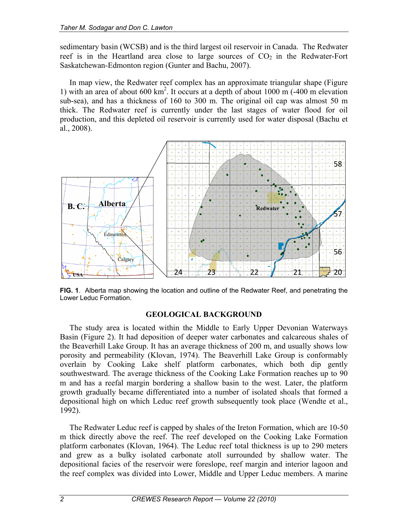sedimentary basin (WCSB) and is the third largest oil reservoir in Canada. The Redwater reef is in the Heartland area close to large sources of  $CO<sub>2</sub>$  in the Redwater-Fort Saskatchewan-Edmonton region (Gunter and Bachu, 2007).

In map view, the Redwater reef complex has an approximate triangular shape (Figure 1) with an area of about 600  $km^2$ . It occurs at a depth of about 1000 m (-400 m elevation sub-sea), and has a thickness of 160 to 300 m. The original oil cap was almost 50 m thick. The Redwater reef is currently under the last stages of water flood for oil production, and this depleted oil reservoir is currently used for water disposal (Bachu et al., 2008).



**FIG. 1**. Alberta map showing the location and outline of the Redwater Reef, and penetrating the Lower Leduc Formation.

### **GEOLOGICAL BACKGROUND**

The study area is located within the Middle to Early Upper Devonian Waterways Basin (Figure 2). It had deposition of deeper water carbonates and calcareous shales of the Beaverhill Lake Group. It has an average thickness of 200 m, and usually shows low porosity and permeability (Klovan, 1974). The Beaverhill Lake Group is conformably overlain by Cooking Lake shelf platform carbonates, which both dip gently southwestward. The average thickness of the Cooking Lake Formation reaches up to 90 m and has a reefal margin bordering a shallow basin to the west. Later, the platform growth gradually became differentiated into a number of isolated shoals that formed a depositional high on which Leduc reef growth subsequently took place (Wendte et al., 1992).

The Redwater Leduc reef is capped by shales of the Ireton Formation, which are 10-50 m thick directly above the reef. The reef developed on the Cooking Lake Formation platform carbonates (Klovan, 1964). The Leduc reef total thickness is up to 290 meters and grew as a bulky isolated carbonate atoll surrounded by shallow water. The depositional facies of the reservoir were foreslope, reef margin and interior lagoon and the reef complex was divided into Lower, Middle and Upper Leduc members. A marine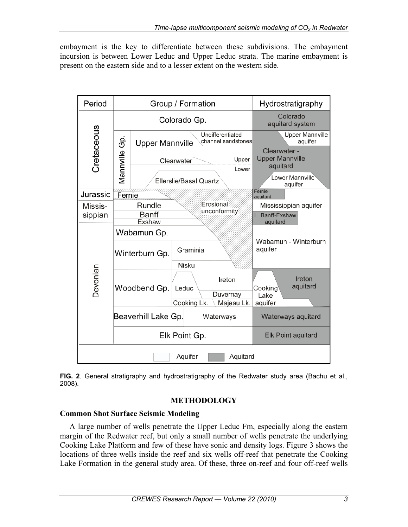embayment is the key to differentiate between these subdivisions. The embayment incursion is between Lower Leduc and Upper Leduc strata. The marine embayment is present on the eastern side and to a lesser extent on the western side.



**FIG. 2**. General stratigraphy and hydrostratigraphy of the Redwater study area (Bachu et al., 2008).

## **METHODOLOGY**

## **Common Shot Surface Seismic Modeling**

A large number of wells penetrate the Upper Leduc Fm, especially along the eastern margin of the Redwater reef, but only a small number of wells penetrate the underlying Cooking Lake Platform and few of these have sonic and density logs. Figure 3 shows the locations of three wells inside the reef and six wells off-reef that penetrate the Cooking Lake Formation in the general study area. Of these, three on-reef and four off-reef wells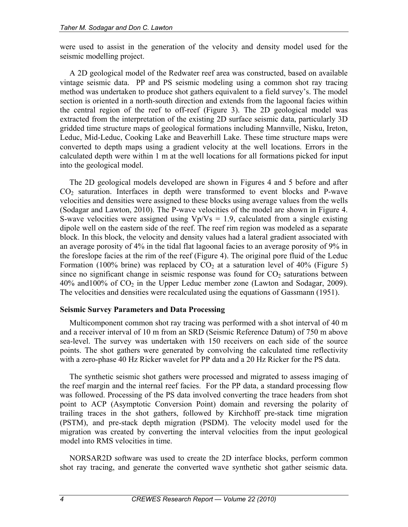were used to assist in the generation of the velocity and density model used for the seismic modelling project.

A 2D geological model of the Redwater reef area was constructed, based on available vintage seismic data. PP and PS seismic modeling using a common shot ray tracing method was undertaken to produce shot gathers equivalent to a field survey's. The model section is oriented in a north-south direction and extends from the lagoonal facies within the central region of the reef to off-reef (Figure 3). The 2D geological model was extracted from the interpretation of the existing 2D surface seismic data, particularly 3D gridded time structure maps of geological formations including Mannville, Nisku, Ireton, Leduc, Mid-Leduc, Cooking Lake and Beaverhill Lake. These time structure maps were converted to depth maps using a gradient velocity at the well locations. Errors in the calculated depth were within 1 m at the well locations for all formations picked for input into the geological model.

The 2D geological models developed are shown in Figures 4 and 5 before and after CO<sub>2</sub> saturation. Interfaces in depth were transformed to event blocks and P-wave velocities and densities were assigned to these blocks using average values from the wells (Sodagar and Lawton, 2010). The P-wave velocities of the model are shown in Figure 4. S-wave velocities were assigned using  $Vp/Vs = 1.9$ , calculated from a single existing dipole well on the eastern side of the reef. The reef rim region was modeled as a separate block. In this block, the velocity and density values had a lateral gradient associated with an average porosity of 4% in the tidal flat lagoonal facies to an average porosity of 9% in the foreslope facies at the rim of the reef (Figure 4). The original pore fluid of the Leduc Formation (100% brine) was replaced by  $CO<sub>2</sub>$  at a saturation level of 40% (Figure 5) since no significant change in seismic response was found for  $CO<sub>2</sub>$  saturations between  $40\%$  and  $100\%$  of  $CO<sub>2</sub>$  in the Upper Leduc member zone (Lawton and Sodagar, 2009). The velocities and densities were recalculated using the equations of Gassmann (1951).

### **Seismic Survey Parameters and Data Processing**

Multicomponent common shot ray tracing was performed with a shot interval of 40 m and a receiver interval of 10 m from an SRD (Seismic Reference Datum) of 750 m above sea-level. The survey was undertaken with 150 receivers on each side of the source points. The shot gathers were generated by convolving the calculated time reflectivity with a zero-phase 40 Hz Ricker wavelet for PP data and a 20 Hz Ricker for the PS data.

The synthetic seismic shot gathers were processed and migrated to assess imaging of the reef margin and the internal reef facies. For the PP data, a standard processing flow was followed. Processing of the PS data involved converting the trace headers from shot point to ACP (Asymptotic Conversion Point) domain and reversing the polarity of trailing traces in the shot gathers, followed by Kirchhoff pre-stack time migration (PSTM), and pre-stack depth migration (PSDM). The velocity model used for the migration was created by converting the interval velocities from the input geological model into RMS velocities in time.

NORSAR2D software was used to create the 2D interface blocks, perform common shot ray tracing, and generate the converted wave synthetic shot gather seismic data.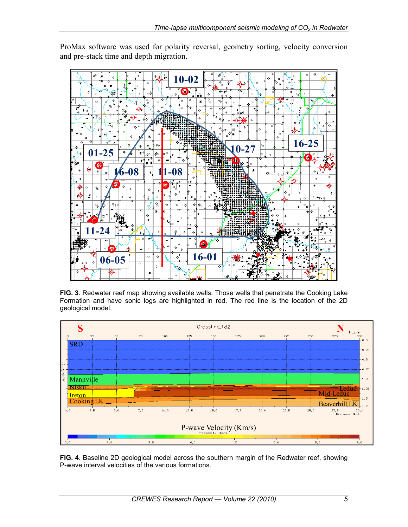

ProMax software was used for polarity reversal, geometry sorting, velocity conversion and pre-stack time and depth migration.

**FIG. 3**. Redwater reef map showing available wells. Those wells that penetrate the Cooking Lake Formation and have sonic logs are highlighted in red. The red line is the location of the 2D geological model.



**FIG. 4**. Baseline 2D geological model across the southern margin of the Redwater reef, showing P-wave interval velocities of the various formations.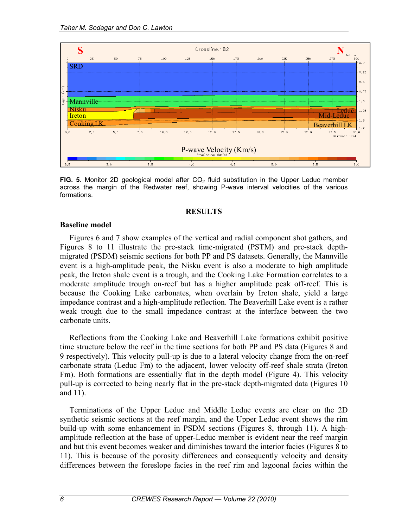

**FIG. 5**. Monitor 2D geological model after  $CO<sub>2</sub>$  fluid substitution in the Upper Leduc member across the margin of the Redwater reef, showing P-wave interval velocities of the various formations.

#### **RESULTS**

#### **Baseline model**

Figures 6 and 7 show examples of the vertical and radial component shot gathers, and Figures 8 to 11 illustrate the pre-stack time-migrated (PSTM) and pre-stack depthmigrated (PSDM) seismic sections for both PP and PS datasets. Generally, the Mannville event is a high-amplitude peak, the Nisku event is also a moderate to high amplitude peak, the Ireton shale event is a trough, and the Cooking Lake Formation correlates to a moderate amplitude trough on-reef but has a higher amplitude peak off-reef. This is because the Cooking Lake carbonates, when overlain by Ireton shale, yield a large impedance contrast and a high-amplitude reflection. The Beaverhill Lake event is a rather weak trough due to the small impedance contrast at the interface between the two carbonate units.

Reflections from the Cooking Lake and Beaverhill Lake formations exhibit positive time structure below the reef in the time sections for both PP and PS data (Figures 8 and 9 respectively). This velocity pull-up is due to a lateral velocity change from the on-reef carbonate strata (Leduc Fm) to the adjacent, lower velocity off-reef shale strata (Ireton Fm). Both formations are essentially flat in the depth model (Figure 4). This velocity pull-up is corrected to being nearly flat in the pre-stack depth-migrated data (Figures 10 and 11).

Terminations of the Upper Leduc and Middle Leduc events are clear on the 2D synthetic seismic sections at the reef margin, and the Upper Leduc event shows the rim build-up with some enhancement in PSDM sections (Figures 8, through 11). A highamplitude reflection at the base of upper-Leduc member is evident near the reef margin and but this event becomes weaker and diminishes toward the interior facies (Figures 8 to 11). This is because of the porosity differences and consequently velocity and density differences between the foreslope facies in the reef rim and lagoonal facies within the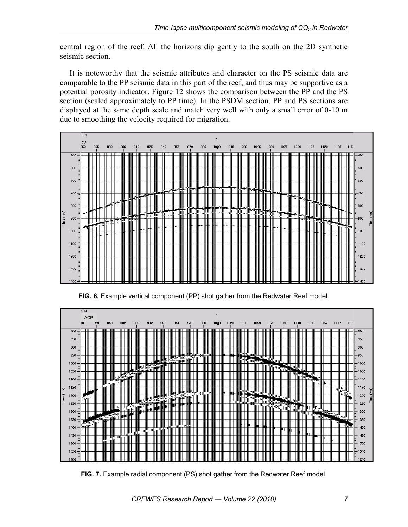central region of the reef. All the horizons dip gently to the south on the 2D synthetic seismic section.

It is noteworthy that the seismic attributes and character on the PS seismic data are comparable to the PP seismic data in this part of the reef, and thus may be supportive as a potential porosity indicator. Figure 12 shows the comparison between the PP and the PS section (scaled approximately to PP time). In the PSDM section, PP and PS sections are displayed at the same depth scale and match very well with only a small error of 0-10 m due to smoothing the velocity required for migration.



**FIG. 6.** Example vertical component (PP) shot gather from the Redwater Reef model.



**FIG. 7.** Example radial component (PS) shot gather from the Redwater Reef model.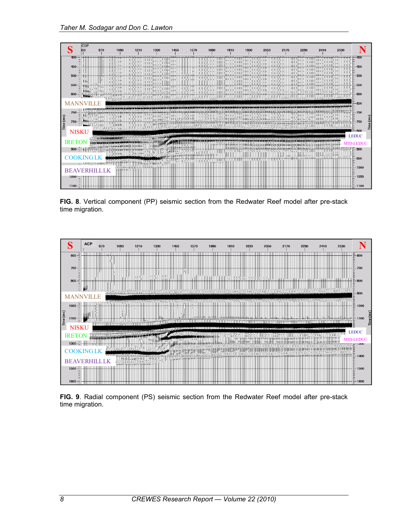

**FIG. 8**. Vertical component (PP) seismic section from the Redwater Reef model after pre-stack time migration.



**FIG. 9**. Radial component (PS) seismic section from the Redwater Reef model after pre-stack time migration.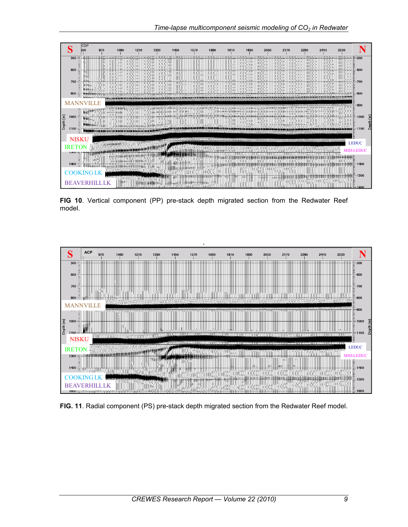

**FIG 10**. Vertical component (PP) pre-stack depth migrated section from the Redwater Reef model.



**FIG. 11**. Radial component (PS) pre-stack depth migrated section from the Redwater Reef model.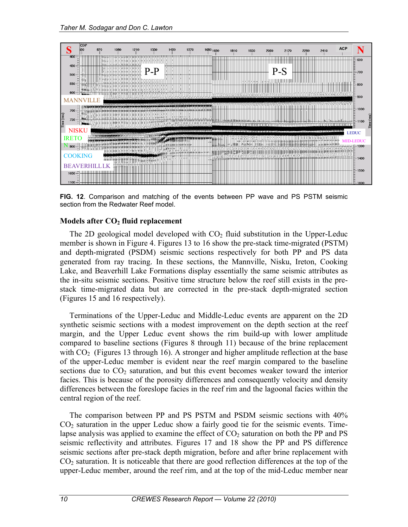

**FIG. 12**. Comparison and matching of the events between PP wave and PS PSTM seismic section from the Redwater Reef model.

#### **Models after CO2 fluid replacement**

The 2D geological model developed with  $CO<sub>2</sub>$  fluid substitution in the Upper-Leduc member is shown in Figure 4. Figures 13 to 16 show the pre-stack time-migrated (PSTM) and depth-migrated (PSDM) seismic sections respectively for both PP and PS data generated from ray tracing. In these sections, the Mannville, Nisku, Ireton, Cooking Lake, and Beaverhill Lake Formations display essentially the same seismic attributes as the in-situ seismic sections. Positive time structure below the reef still exists in the prestack time-migrated data but are corrected in the pre-stack depth-migrated section (Figures 15 and 16 respectively).

Terminations of the Upper-Leduc and Middle-Leduc events are apparent on the 2D synthetic seismic sections with a modest improvement on the depth section at the reef margin, and the Upper Leduc event shows the rim build-up with lower amplitude compared to baseline sections (Figures 8 through 11) because of the brine replacement with  $CO<sub>2</sub>$  (Figures 13 through 16). A stronger and higher amplitude reflection at the base of the upper-Leduc member is evident near the reef margin compared to the baseline sections due to  $CO<sub>2</sub>$  saturation, and but this event becomes weaker toward the interior facies. This is because of the porosity differences and consequently velocity and density differences between the foreslope facies in the reef rim and the lagoonal facies within the central region of the reef.

The comparison between PP and PS PSTM and PSDM seismic sections with 40%  $CO<sub>2</sub>$  saturation in the upper Leduc show a fairly good tie for the seismic events. Timelapse analysis was applied to examine the effect of  $CO<sub>2</sub>$  saturation on both the PP and PS seismic reflectivity and attributes. Figures 17 and 18 show the PP and PS difference seismic sections after pre-stack depth migration, before and after brine replacement with  $CO<sub>2</sub>$  saturation. It is noticeable that there are good reflection differences at the top of the upper-Leduc member, around the reef rim, and at the top of the mid-Leduc member near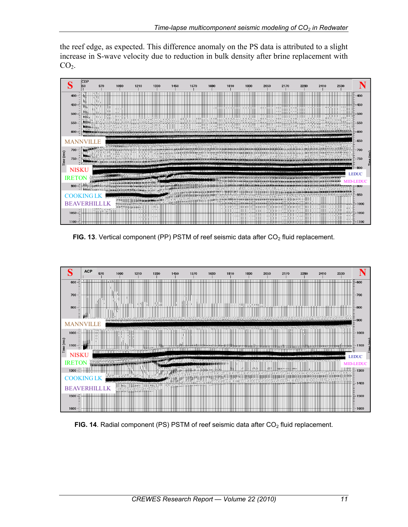the reef edge, as expected. This difference anomaly on the PS data is attributed to a slight increase in S-wave velocity due to reduction in bulk density after brine replacement with  $CO<sub>2</sub>$ .



FIG. 13. Vertical component (PP) PSTM of reef seismic data after CO<sub>2</sub> fluid replacement.



**FIG. 14.** Radial component (PS) PSTM of reef seismic data after CO<sub>2</sub> fluid replacement.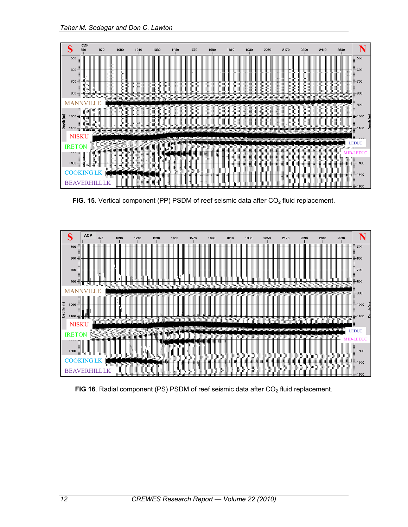

FIG. 15. Vertical component (PP) PSDM of reef seismic data after CO<sub>2</sub> fluid replacement.



FIG 16. Radial component (PS) PSDM of reef seismic data after CO<sub>2</sub> fluid replacement.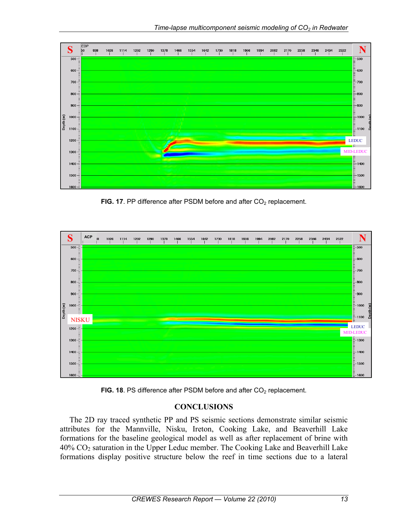

FIG. 17. PP difference after PSDM before and after CO<sub>2</sub> replacement.



FIG. 18. PS difference after PSDM before and after CO<sub>2</sub> replacement.

## **CONCLUSIONS**

The 2D ray traced synthetic PP and PS seismic sections demonstrate similar seismic attributes for the Mannville, Nisku, Ireton, Cooking Lake, and Beaverhill Lake formations for the baseline geological model as well as after replacement of brine with  $40\%$  CO<sub>2</sub> saturation in the Upper Leduc member. The Cooking Lake and Beaverhill Lake formations display positive structure below the reef in time sections due to a lateral